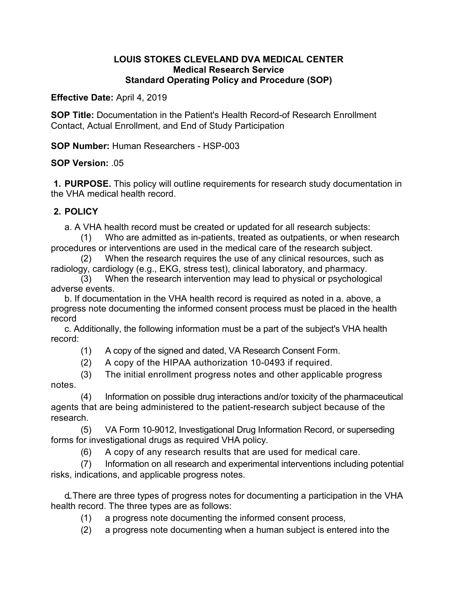### **LOUIS STOKES CLEVELAND DVA MEDICAL CENTER Medical Research Service Standard Operating Policy and Procedure (SOP)**

**Effective Date:** April 4, 2019

**SOP Title:** Documentation in the Patient's Health Record-of Research Enrollment Contact, Actual Enrollment, and End of Study Participation

**SOP Number:** Human Researchers - HSP-003

### **SOP Version:** .05

**1. PURPOSE.** This policy will outline requirements for research study documentation in the VHA medical health record.

# **2. POLICY**

a. A VHA health record must be created or updated for all research subjects:

(1) Who are admitted as in-patients, treated as outpatients, or when research procedures or interventions are used in the medical care of the research subject.

(2) When the research requires the use of any clinical resources, such as radiology, cardiology (e.g., EKG, stress test), clinical laboratory, and pharmacy.

(3) When the research intervention may lead to physical or psychological adverse events.

b. If documentation in the VHA health record is required as noted in a. above, a progress note documenting the informed consent process must be placed in the health record

c. Additionally, the following information must be a part of the subject's VHA health record:

(1) A copy of the signed and dated, VA Research Consent Form.

(2) A copy of the HIPAA authorization 10-0493 if required.

(3) The initial enrollment progress notes and other applicable progress notes.

(4) Information on possible drug interactions and/or toxicity of the pharmaceutical agents that are being administered to the patient-research subject because of the research.

(5) VA Form 10-9012, Investigational Drug Information Record, or superseding forms for investigational drugs as required VHA policy.

(6) A copy of any research results that are used for medical care.

(7) Information on all research and experimental interventions including potential risks, indications, and applicable progress notes.

d. There are three types of progress notes for documenting a participation in the VHA health record. The three types are as follows:

(1) a progress note documenting the informed consent process,

(2) a progress note documenting when a human subject is entered into the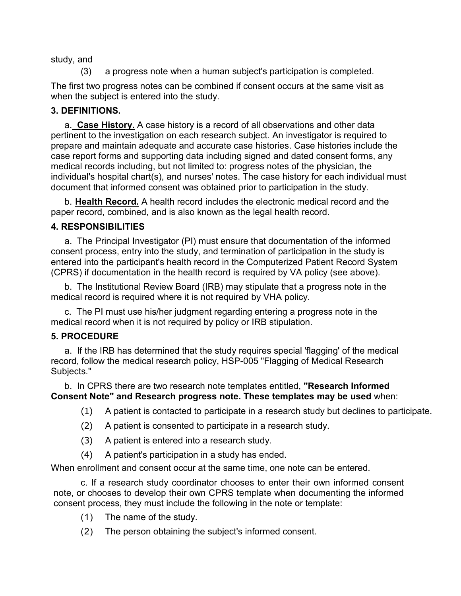study, and

(3) a progress note when a human subject's participation is completed.

The first two progress notes can be combined if consent occurs at the same visit as when the subject is entered into the study.

# **3. DEFINITIONS.**

a. **Case History.** A case history is a record of all observations and other data pertinent to the investigation on each research subject. An investigator is required to prepare and maintain adequate and accurate case histories. Case histories include the case report forms and supporting data including signed and dated consent forms, any medical records including, but not limited to: progress notes of the physician, the individual's hospital chart(s), and nurses' notes. The case history for each individual must document that informed consent was obtained prior to participation in the study.

b. **Health Record.** A health record includes the electronic medical record and the paper record, combined, and is also known as the legal health record.

### **4. RESPONSIBILITIES**

a. The Principal Investigator (PI) must ensure that documentation of the informed consent process, entry into the study, and termination of participation in the study is entered into the participant's health record in the Computerized Patient Record System (CPRS) if documentation in the health record is required by VA policy (see above).

b. The Institutional Review Board (IRB) may stipulate that a progress note in the medical record is required where it is not required by VHA policy.

c. The PI must use his/her judgment regarding entering a progress note in the medical record when it is not required by policy or IRB stipulation.

# **5. PROCEDURE**

a. If the IRB has determined that the study requires special 'flagging' of the medical record, follow the medical research policy, HSP-005 "Flagging of Medical Research Subjects."

b. In CPRS there are two research note templates entitled, **"Research Informed Consent Note" and Research progress note. These templates may be used** when:

- (1) A patient is contacted to participate in a research study but declines to participate.
- (2) A patient is consented to participate in a research study.
- (3) A patient is entered into a research study.
- (4) A patient's participation in a study has ended.

When enrollment and consent occur at the same time, one note can be entered.

c. If a research study coordinator chooses to enter their own informed consent note, or chooses to develop their own CPRS template when documenting the informed consent process, they must include the following in the note or template:

- (1) The name of the study.
- (2) The person obtaining the subject's informed consent.